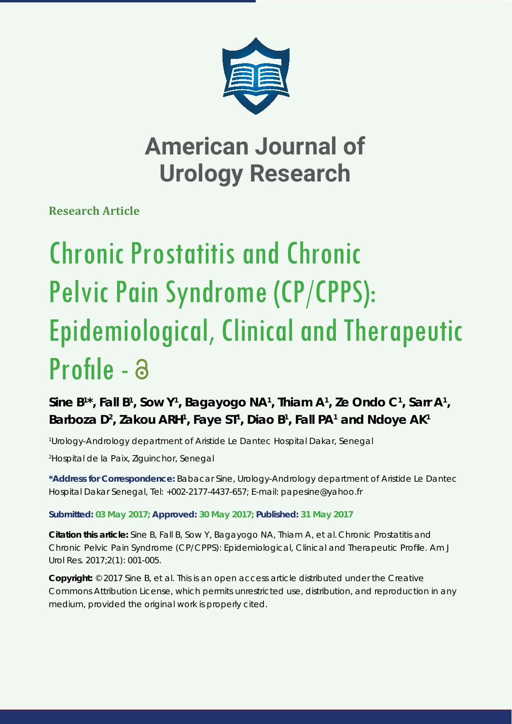

**Research Article**

# Chronic Prostatitis and Chronic Pelvic Pain Syndrome (CP/CPPS): Epidemiological, Clinical and Therapeutic Profile - a

Sine B<sup>1\*</sup>, Fall B<sup>1</sup>, Sow Y<sup>1</sup>, Bagayogo NA<sup>1</sup>, Thiam A<sup>1</sup>, Ze Ondo C<sup>1</sup>, Sarr A<sup>1</sup>, Barboza D<sup>2</sup>, Zakou ARH<sup>1</sup>, Faye ST<sup>1</sup>, Diao B<sup>1</sup>, Fall PA<sup>1</sup> and Ndoye AK<sup>1</sup>

*1 Urology-Andrology department of Aristide Le Dantec Hospital Dakar, Senegal*

*2 Hospital de la Paix, Ziguinchor, Senegal*

**\*Address for Correspondence:** Babacar Sine, Urology-Andrology department of Aristide Le Dantec Hospital Dakar Senegal, Tel: +002-2177-4437-657; E-mail: papesine@yahoo.fr

#### **Submitted: 03 May 2017; Approved: 30 May 2017; Published: 31 May 2017**

**Citation this article:** Sine B, Fall B, Sow Y, Bagayogo NA, Thiam A, et al. Chronic Prostatitis and Chronic Pelvic Pain Syndrome (CP/CPPS): Epidemiological, Clinical and Therapeutic Profile. Am J Urol Res. 2017;2(1): 001-005.

**Copyright:** © 2017 Sine B, et al. This is an open access article distributed under the Creative Commons Attribution License, which permits unrestricted use, distribution, and reproduction in any medium, provided the original work is properly cited.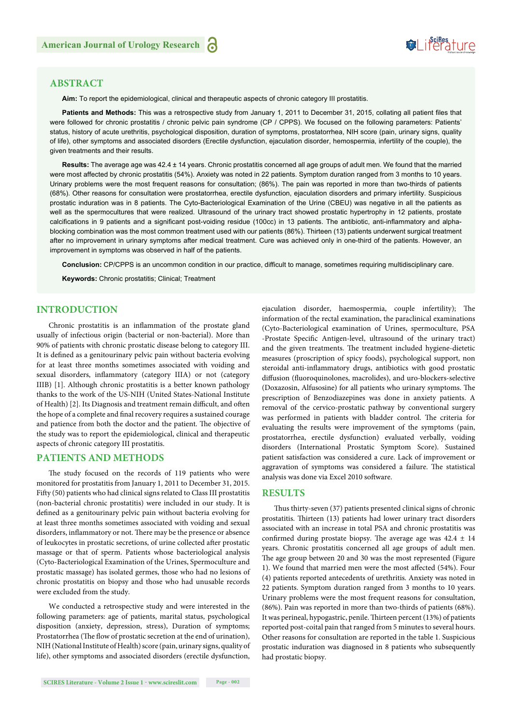### Suifes ture

#### **ABSTRACT**

**Aim:** To report the epidemiological, clinical and therapeutic aspects of chronic category III prostatitis.

Patients and Methods: This was a retrospective study from January 1, 2011 to December 31, 2015, collating all patient files that were followed for chronic prostatitis / chronic pelvic pain syndrome (CP / CPPS). We focused on the following parameters: Patients' status, history of acute urethritis, psychological disposition, duration of symptoms, prostatorrhea, NIH score (pain, urinary signs, quality of life), other symptoms and associated disorders (Erectile dysfunction, ejaculation disorder, hemospermia, infertility of the couple), the given treatments and their results.

**Results:** The average age was 42.4 ± 14 years. Chronic prostatitis concerned all age groups of adult men. We found that the married were most affected by chronic prostatitis (54%). Anxiety was noted in 22 patients. Symptom duration ranged from 3 months to 10 years. Urinary problems were the most frequent reasons for consultation; (86%). The pain was reported in more than two-thirds of patients (68%). Other reasons for consultation were prostatorrhea, erectile dysfunction, ejaculation disorders and primary infertility. Suspicious prostatic induration was in 8 patients. The Cyto-Bacteriological Examination of the Urine (CBEU) was negative in all the patients as well as the spermocultures that were realized. Ultrasound of the urinary tract showed prostatic hypertrophy in 12 patients, prostate calcifications in 9 patients and a significant post-voiding residue (100cc) in 13 patients. The antibiotic, anti-inflammatory and alphablocking combination was the most common treatment used with our patients (86%). Thirteen (13) patients underwent surgical treatment after no improvement in urinary symptoms after medical treatment. Cure was achieved only in one-third of the patients. However, an improvement in symptoms was observed in half of the patients.

Conclusion: CP/CPPS is an uncommon condition in our practice, difficult to manage, sometimes requiring multidisciplinary care.

**Keywords:** Chronic prostatitis; Clinical; Treatment

#### **INTRODUCTION**

Chronic prostatitis is an inflammation of the prostate gland usually of infectious origin (bacterial or non-bacterial). More than 90% of patients with chronic prostatic disease belong to category III. It is defined as a genitourinary pelvic pain without bacteria evolving for at least three months sometimes associated with voiding and sexual disorders, inflammatory (category IIIA) or not (category IIIB) [1]. Although chronic prostatitis is a better known pathology thanks to the work of the US-NIH (United States-National Institute of Health) [2]. Its Diagnosis and treatment remain difficult, and often the hope of a complete and final recovery requires a sustained courage and patience from both the doctor and the patient. The objective of the study was to report the epidemiological, clinical and therapeutic aspects of chronic category III prostatitis.

#### **PATIENTS AND METHODS**

The study focused on the records of 119 patients who were monitored for prostatitis from January 1, 2011 to December 31, 2015. Fifty (50) patients who had clinical signs related to Class III prostatitis (non-bacterial chronic prostatitis) were included in our study. It is defined as a genitourinary pelvic pain without bacteria evolving for at least three months sometimes associated with voiding and sexual disorders, inflammatory or not. There may be the presence or absence of leukocytes in prostatic secretions, of urine collected after prostatic massage or that of sperm. Patients whose bacteriological analysis (Cyto-Bacteriological Examination of the Urines, Spermoculture and prostatic massage) has isolated germes, those who had no lesions of chronic prostatitis on biopsy and those who had unusable records were excluded from the study.

We conducted a retrospective study and were interested in the following parameters: age of patients, marital status, psychological disposition (anxiety, depression, stress), Duration of symptoms; Prostatorrhea (The flow of prostatic secretion at the end of urination), NIH (National Institute of Health) score (pain, urinary signs, quality of life), other symptoms and associated disorders (erectile dysfunction,

**SCIRES Literature - Volume 2 Issue 1 - www.scireslit.com Page - 002**

ejaculation disorder, haemospermia, couple infertility); The information of the rectal examination, the paraclinical examinations (Cyto-Bacteriological examination of Urines, spermoculture, PSA -Prostate Specific Antigen-level, ultrasound of the urinary tract) and the given treatments. The treatment included hygiene-dietetic measures (proscription of spicy foods), psychological support, non steroidal anti-inflammatory drugs, antibiotics with good prostatic diffusion (fluoroquinolones, macrolides), and uro-blockers-selective (Doxazosin, Alfusosine) for all patients who urinary symptoms. The prescription of Benzodiazepines was done in anxiety patients. A removal of the cervico-prostatic pathway by conventional surgery was performed in patients with bladder control. The criteria for evaluating the results were improvement of the symptoms (pain, prostatorrhea, erectile dysfunction) evaluated verbally, voiding disorders (International Prostatic Symptom Score). Sustained patient satisfaction was considered a cure. Lack of improvement or aggravation of symptoms was considered a failure. The statistical analysis was done via Excel 2010 software.

#### **RESULTS**

Thus thirty-seven (37) patients presented clinical signs of chronic prostatitis. Thirteen (13) patients had lower urinary tract disorders associated with an increase in total PSA and chronic prostatitis was confirmed during prostate biopsy. The average age was  $42.4 \pm 14$ years. Chronic prostatitis concerned all age groups of adult men. The age group between 20 and 30 was the most represented (Figure 1). We found that married men were the most affected (54%). Four (4) patients reported antecedents of urethritis. Anxiety was noted in 22 patients. Symptom duration ranged from 3 months to 10 years. Urinary problems were the most frequent reasons for consultation, (86%). Pain was reported in more than two-thirds of patients (68%). It was perineal, hypogastric, penile. Thirteen percent (13%) of patients reported post-coital pain that ranged from 5 minutes to several hours. Other reasons for consultation are reported in the table 1. Suspicious prostatic induration was diagnosed in 8 patients who subsequently had prostatic biopsy.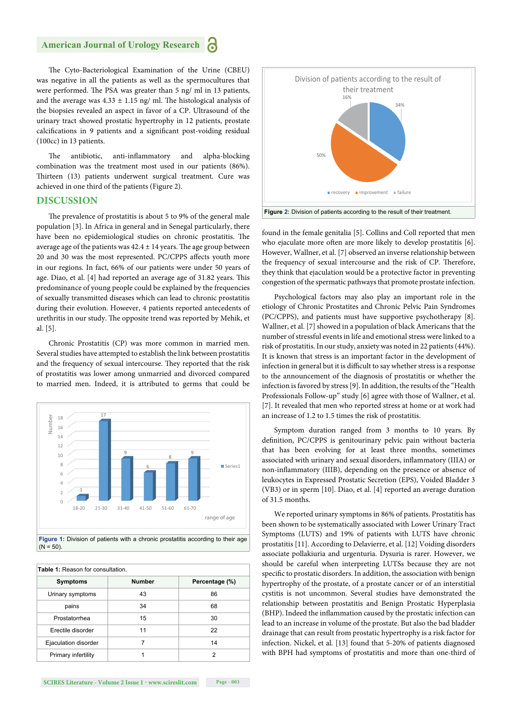The Cyto-Bacteriological Examination of the Urine (CBEU) was negative in all the patients as well as the spermocultures that were performed. The PSA was greater than 5 ng/ ml in 13 patients, and the average was  $4.33 \pm 1.15$  ng/ ml. The histological analysis of the biopsies revealed an aspect in favor of a CP. Ultrasound of the urinary tract showed prostatic hypertrophy in 12 patients, prostate calcifications in 9 patients and a significant post-voiding residual (100cc) in 13 patients.

The antibiotic, anti-inflammatory and alpha-blocking combination was the treatment most used in our patients (86%). Thirteen (13) patients underwent surgical treatment. Cure was achieved in one third of the patients (Figure 2).

#### **DISCUSSION**

The prevalence of prostatitis is about 5 to 9% of the general male population [3]. In Africa in general and in Senegal particularly, there have been no epidemiological studies on chronic prostatitis. The average age of the patients was  $42.4 \pm 14$  years. The age group between 20 and 30 was the most represented. PC/CPPS affects youth more in our regions. In fact, 66% of our patients were under 50 years of age. Diao, et al. [4] had reported an average age of 31.82 years. This predominance of young people could be explained by the frequencies of sexually transmitted diseases which can lead to chronic prostatitis during their evolution. However, 4 patients reported antecedents of urethritis in our study. The opposite trend was reported by Mehik, et al. [5].

Chronic Prostatitis (CP) was more common in married men. Several studies have attempted to establish the link between prostatitis and the frequency of sexual intercourse. They reported that the risk of prostatitis was lower among unmarried and divorced compared to married men. Indeed, it is attributed to germs that could be



 $(N = 50)$ 

**Table 1:** Reason for consultation.

| <b>TUDIO I.</b> INCUSOTITOI CONSUNUIDII. |               |                |
|------------------------------------------|---------------|----------------|
| <b>Symptoms</b>                          | <b>Number</b> | Percentage (%) |
| Urinary symptoms                         | 43            | 86             |
| pains                                    | 34            | 68             |
| Prostatorrhea                            | 15            | 30             |
| Erectile disorder                        | 11            | 22             |
| Ejaculation disorder                     |               | 14             |
| Primary infertility                      |               | 2              |





found in the female genitalia [5]. Collins and Coll reported that men who ejaculate more often are more likely to develop prostatitis [6]. However, Wallner, et al. [7] observed an inverse relationship between the frequency of sexual intercourse and the risk of CP. Therefore, they think that ejaculation would be a protective factor in preventing congestion of the spermatic pathways that promote prostate infection.

Psychological factors may also play an important role in the etiology of Chronic Prostatites and Chronic Pelvic Pain Syndromes (PC/CPPS), and patients must have supportive psychotherapy [8]. Wallner, et al. [7] showed in a population of black Americans that the number of stressful events in life and emotional stress were linked to a risk of prostatitis. In our study, anxiety was noted in 22 patients (44%). It is known that stress is an important factor in the development of infection in general but it is difficult to say whether stress is a response to the announcement of the diagnosis of prostatitis or whether the infection is favored by stress [9]. In addition, the results of the "Health Professionals Follow-up" study [6] agree with those of Wallner, et al. [7]. It revealed that men who reported stress at home or at work had an increase of 1.2 to 1.5 times the risk of prostatitis.

Symptom duration ranged from 3 months to 10 years. By definition, PC/CPPS is genitourinary pelvic pain without bacteria that has been evolving for at least three months, sometimes associated with urinary and sexual disorders, inflammatory (IIIA) or non-inflammatory (IIIB), depending on the presence or absence of leukocytes in Expressed Prostatic Secretion (EPS), Voided Bladder 3 (VB3) or in sperm [10]. Diao, et al. [4] reported an average duration of 31.5 months.

We reported urinary symptoms in 86% of patients. Prostatitis has been shown to be systematically associated with Lower Urinary Tract Symptoms (LUTS) and 19% of patients with LUTS have chronic prostatitis [11]. According to Delavierre, et al. [12] Voiding disorders associate pollakiuria and urgenturia. Dysuria is rarer. However, we should be careful when interpreting LUTSs because they are not specific to prostatic disorders. In addition, the association with benign hypertrophy of the prostate, of a prostate cancer or of an interstitial cystitis is not uncommon. Several studies have demonstrated the relationship between prostatitis and Benign Prostatic Hyperplasia (BHP). Indeed the inflammation caused by the prostatic infection can lead to an increase in volume of the prostate. But also the bad bladder drainage that can result from prostatic hypertrophy is a risk factor for infection. Nickel, et al. [13] found that 5-20% of patients diagnosed with BPH had symptoms of prostatitis and more than one-third of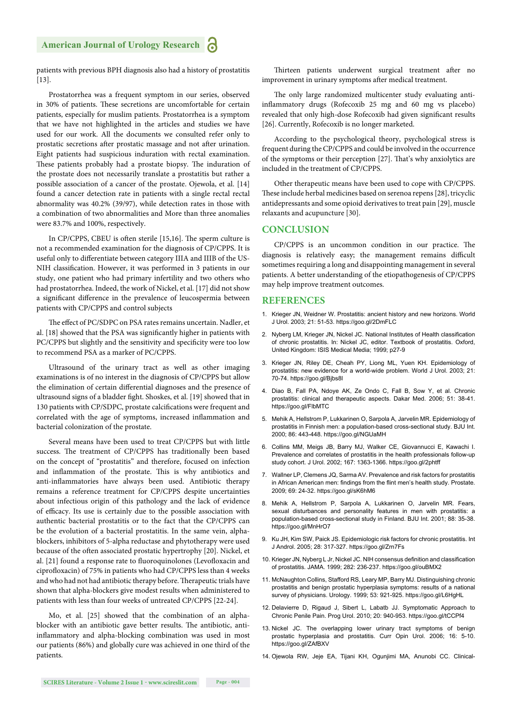patients with previous BPH diagnosis also had a history of prostatitis [13].

Prostatorrhea was a frequent symptom in our series, observed in 30% of patients. These secretions are uncomfortable for certain patients, especially for muslim patients. Prostatorrhea is a symptom that we have not highlighted in the articles and studies we have used for our work. All the documents we consulted refer only to prostatic secretions after prostatic massage and not after urination. Eight patients had suspicious induration with rectal examination. These patients probably had a prostate biopsy. The induration of the prostate does not necessarily translate a prostatitis but rather a possible association of a cancer of the prostate. Ojewola, et al. [14] found a cancer detection rate in patients with a single rectal rectal abnormality was 40.2% (39/97), while detection rates in those with a combination of two abnormalities and More than three anomalies were 83.7% and 100%, respectively.

In CP/CPPS, CBEU is often sterile [15,16]. The sperm culture is not a recommended examination for the diagnosis of CP/CPPS. It is useful only to differentiate between category IIIA and IIIB of the US-NIH classification. However, it was performed in 3 patients in our study, one patient who had primary infertility and two others who had prostatorrhea. Indeed, the work of Nickel, et al. [17] did not show a significant difference in the prevalence of leucospermia between patients with CP/CPPS and control subjects

The effect of PC/SDPC on PSA rates remains uncertain. Nadler, et al. [18] showed that the PSA was significantly higher in patients with PC/CPPS but slightly and the sensitivity and specificity were too low to recommend PSA as a marker of PC/CPPS.

Ultrasound of the urinary tract as well as other imaging examinations is of no interest in the diagnosis of CP/CPPS but allow the elimination of certain differential diagnoses and the presence of ultrasound signs of a bladder fight. Shoskes, et al. [19] showed that in 130 patients with CP/SDPC, prostate calcifications were frequent and correlated with the age of symptoms, increased inflammation and bacterial colonization of the prostate.

Several means have been used to treat CP/CPPS but with little success. The treatment of CP/CPPS has traditionally been based on the concept of "prostatitis" and therefore, focused on infection and inflammation of the prostate. This is why antibiotics and anti-inflammatories have always been used. Antibiotic therapy remains a reference treatment for CP/CPPS despite uncertainties about infectious origin of this pathology and the lack of evidence of efficacy. Its use is certainly due to the possible association with authentic bacterial prostatitis or to the fact that the CP/CPPS can be the evolution of a bacterial prostatitis. In the same vein, alphablockers, inhibitors of 5-alpha reductase and phytotherapy were used because of the often associated prostatic hypertrophy [20]. Nickel, et al. [21] found a response rate to fluoroquinolones (Levofloxacin and ciprofloxacin) of 75% in patients who had CP/CPPS less than 4 weeks and who had not had antibiotic therapy before. Therapeutic trials have shown that alpha-blockers give modest results when administered to patients with less than four weeks of untreated CP/CPPS [22-24].

Mo, et al. [25] showed that the combination of an alphablocker with an antibiotic gave better results. The antibiotic, antiinflammatory and alpha-blocking combination was used in most our patients (86%) and globally cure was achieved in one third of the patients.

Thirteen patients underwent surgical treatment after no improvement in urinary symptoms after medical treatment.

The only large randomized multicenter study evaluating antiinflammatory drugs (Rofecoxib 25 mg and 60 mg vs placebo) revealed that only high-dose Rofecoxib had given significant results [26]. Currently, Rofecoxib is no longer marketed.

According to the psychological theory, psychological stress is frequent during the CP/CPPS and could be involved in the occurrence of the symptoms or their perception [27]. That's why anxiolytics are included in the treatment of CP/CPPS.

Other therapeutic means have been used to cope with CP/CPPS. These include herbal medicines based on serenoa repens [28], tricyclic antidepressants and some opioid derivatives to treat pain [29], muscle relaxants and acupuncture [30].

#### **CONCLUSION**

CP/CPPS is an uncommon condition in our practice. The diagnosis is relatively easy; the management remains difficult sometimes requiring a long and disappointing management in several patients. A better understanding of the etiopathogenesis of CP/CPPS may help improve treatment outcomes.

#### **REFERENCES**

- 1. Krieger JN, Weidner W. Prostatitis: ancient history and new horizons. World J Urol. 2003; 21: 51-53. https://goo.gl/2DmFLC
- 2. Nyberg LM, Krieger JN, Nickel JC. National Institutes of Health classification of chronic prostatitis. In: Nickel JC, editor. Textbook of prostatitis. Oxford, United Kingdom: ISIS Medical Media; 1999; p27-9
- 3. Krieger JN, Riley DE, Cheah PY, Liong ML, Yuen KH. Epidemiology of prostatitis: new evidence for a world-wide problem. World J Urol. 2003; 21: 70-74. https://goo.gl/Bjbs8l
- 4. Diao B, Fall PA, Ndoye AK, Ze Ondo C, Fall B, Sow Y, et al. Chronic prostatitis: clinical and therapeutic aspects. Dakar Med. 2006; 51: 38-41. https://goo.gl/FlbMTC
- 5. Mehik A, Hellstrom P, Lukkarinen O, Sarpola A, Jarvelin MR. Epidemiology of prostatitis in Finnish men: a population-based cross-sectional study. BJU Int. 2000; 86: 443-448. https://goo.gl/NGUaMH
- 6. Collins MM, Meigs JB, Barry MJ, Walker CE, Giovannucci E, Kawachi I. Prevalence and correlates of prostatitis in the health professionals follow-up study cohort. J Urol. 2002; 167: 1363-1366. https://goo.gl/2phtff
- 7. Wallner LP, Clemens JQ, Sarma AV. Prevalence and risk factors for prostatitis in African American men: findings from the flint men's health study. Prostate. 2009; 69: 24-32. https://goo.gl/sK6hM6
- 8. Mehik A, Hellstrom P, Sarpola A, Lukkarinen O, Jarvelin MR. Fears, sexual disturbances and personality features in men with prostatitis: a population-based cross-sectional study in Finland. BJU Int. 2001; 88: 35-38. https://goo.gl/MnHrO7
- 9. Ku JH, Kim SW, Paick JS. Epidemiologic risk factors for chronic prostatitis. Int J Androl. 2005; 28: 317-327. https://goo.gl/Zrn7Fs
- 10. Krieger JN, Nyberg L Jr, Nickel JC. NIH consensus definition and classification of prostatitis. JAMA. 1999; 282: 236-237. https://goo.gl/ouBMX2
- 11. McNaughton Collins, Stafford RS, Leary MP, Barry MJ. Distinguishing chronic prostatitis and benign prostatic hyperplasia symptoms: results of a national survey of physicians. Urology. 1999; 53: 921-925. https://goo.gl/L6HgHL
- 12. Delavierre D, Rigaud J, Sibert L, Labatb JJ. Symptomatic Approach to Chronic Penile Pain. Prog Urol. 2010; 20: 940-953. https://goo.gl/tCCPf4
- 13. Nickel JC. The overlapping lower urinary tract symptoms of benign prostatic hyperplasia and prostatitis. Curr Opin Urol. 2006; 16: 5-10. https://goo.gl/ZAfBXV
- 14. Ojewola RW, Jeje EA, Tijani KH, Ogunjimi MA, Anunobi CC. Clinical-